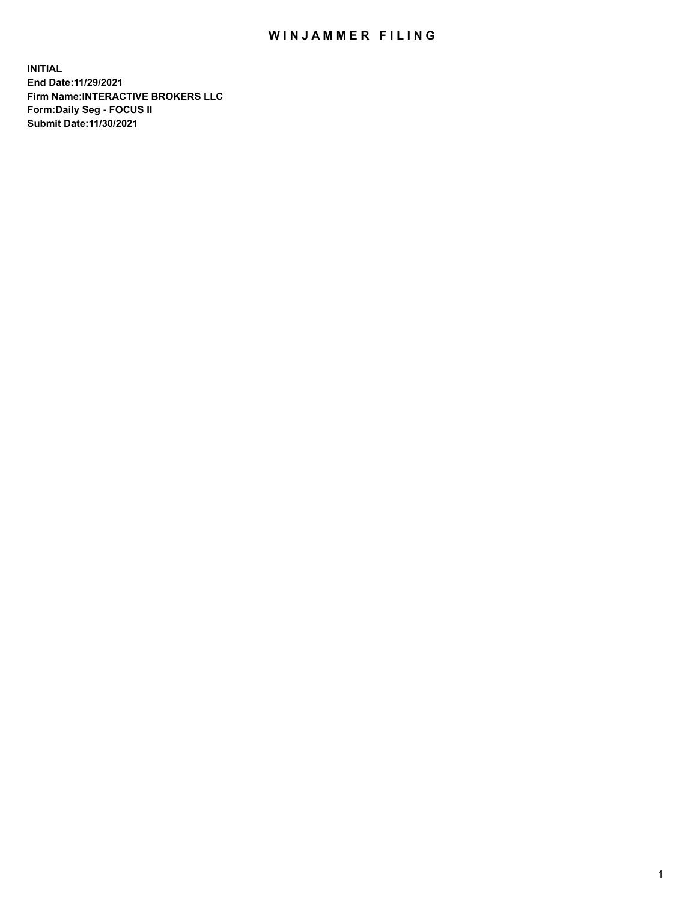## WIN JAMMER FILING

**INITIAL End Date:11/29/2021 Firm Name:INTERACTIVE BROKERS LLC Form:Daily Seg - FOCUS II Submit Date:11/30/2021**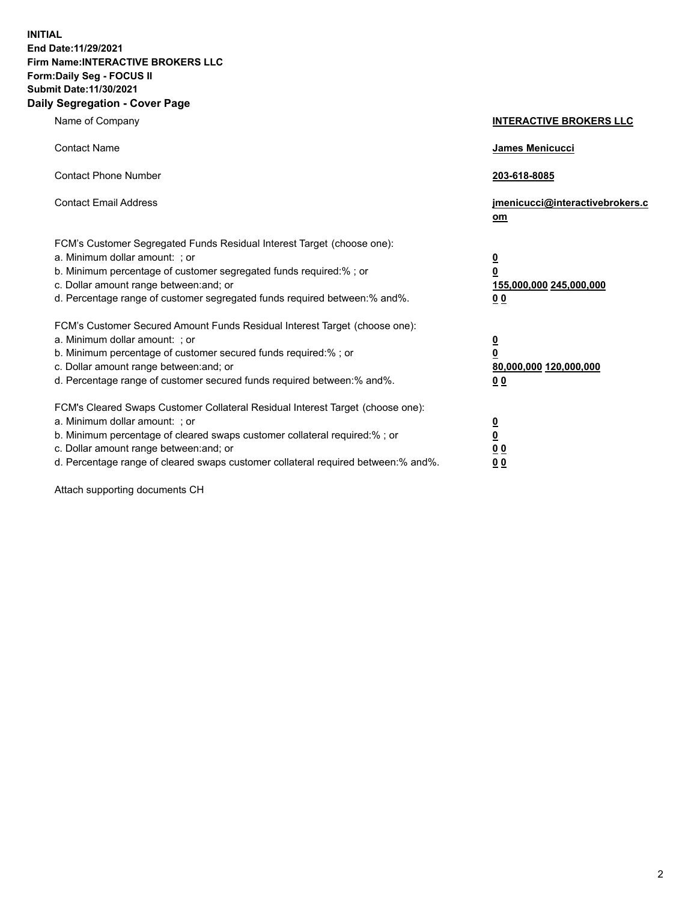**INITIAL End Date:11/29/2021 Firm Name:INTERACTIVE BROKERS LLC Form:Daily Seg - FOCUS II Submit Date:11/30/2021 Daily Segregation - Cover Page**

| Name of Company                                                                                                                                                                                                                                                                                                                | <b>INTERACTIVE BROKERS LLC</b>                                              |
|--------------------------------------------------------------------------------------------------------------------------------------------------------------------------------------------------------------------------------------------------------------------------------------------------------------------------------|-----------------------------------------------------------------------------|
| <b>Contact Name</b>                                                                                                                                                                                                                                                                                                            | James Menicucci                                                             |
| <b>Contact Phone Number</b>                                                                                                                                                                                                                                                                                                    | 203-618-8085                                                                |
| <b>Contact Email Address</b>                                                                                                                                                                                                                                                                                                   | jmenicucci@interactivebrokers.c<br>om                                       |
| FCM's Customer Segregated Funds Residual Interest Target (choose one):<br>a. Minimum dollar amount: ; or<br>b. Minimum percentage of customer segregated funds required:% ; or<br>c. Dollar amount range between: and; or<br>d. Percentage range of customer segregated funds required between:% and%.                         | <u>0</u><br>$\overline{\mathbf{0}}$<br>155,000,000 245,000,000<br><u>00</u> |
| FCM's Customer Secured Amount Funds Residual Interest Target (choose one):<br>a. Minimum dollar amount: : or<br>b. Minimum percentage of customer secured funds required:%; or<br>c. Dollar amount range between: and; or<br>d. Percentage range of customer secured funds required between:% and%.                            | $\frac{0}{0}$<br>80,000,000 120,000,000<br><u>00</u>                        |
| FCM's Cleared Swaps Customer Collateral Residual Interest Target (choose one):<br>a. Minimum dollar amount: ; or<br>b. Minimum percentage of cleared swaps customer collateral required:% ; or<br>c. Dollar amount range between: and; or<br>d. Percentage range of cleared swaps customer collateral required between:% and%. | $\frac{0}{0}$<br>$\underline{0}$ $\underline{0}$<br>0 <sub>0</sub>          |

Attach supporting documents CH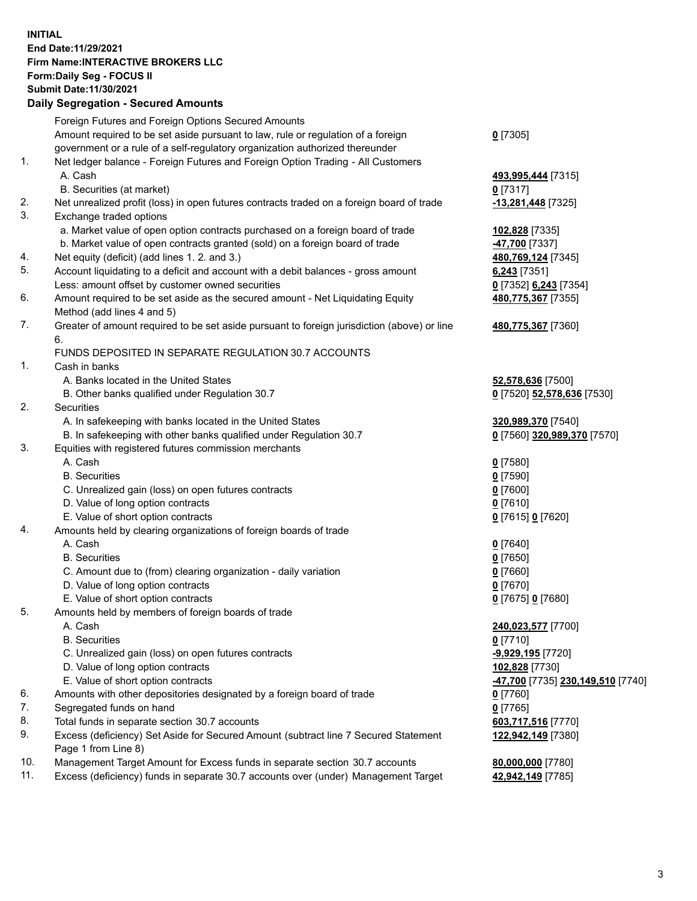## **INITIAL End Date:11/29/2021 Firm Name:INTERACTIVE BROKERS LLC Form:Daily Seg - FOCUS II Submit Date:11/30/2021 Daily Segregation - Secured Amounts**

|     | Daily Jegi egation - Jeculeu Alliounts                                                               |                                   |
|-----|------------------------------------------------------------------------------------------------------|-----------------------------------|
|     | Foreign Futures and Foreign Options Secured Amounts                                                  |                                   |
|     | Amount required to be set aside pursuant to law, rule or regulation of a foreign                     | $0$ [7305]                        |
|     | government or a rule of a self-regulatory organization authorized thereunder                         |                                   |
| 1.  | Net ledger balance - Foreign Futures and Foreign Option Trading - All Customers                      |                                   |
|     | A. Cash                                                                                              | 493,995,444 [7315]                |
|     | B. Securities (at market)                                                                            | $0$ [7317]                        |
| 2.  | Net unrealized profit (loss) in open futures contracts traded on a foreign board of trade            | -13,281,448 [7325]                |
| 3.  | Exchange traded options                                                                              |                                   |
|     | a. Market value of open option contracts purchased on a foreign board of trade                       | 102,828 [7335]                    |
|     | b. Market value of open contracts granted (sold) on a foreign board of trade                         | 47,700 [7337]                     |
| 4.  | Net equity (deficit) (add lines 1. 2. and 3.)                                                        | 480,769,124 [7345]                |
| 5.  | Account liquidating to a deficit and account with a debit balances - gross amount                    | $6,243$ [7351]                    |
|     | Less: amount offset by customer owned securities                                                     | 0 [7352] 6,243 [7354]             |
| 6.  | Amount required to be set aside as the secured amount - Net Liquidating Equity                       | 480,775,367 [7355]                |
|     | Method (add lines 4 and 5)                                                                           |                                   |
| 7.  | Greater of amount required to be set aside pursuant to foreign jurisdiction (above) or line          | 480,775,367 [7360]                |
|     | 6.                                                                                                   |                                   |
|     | FUNDS DEPOSITED IN SEPARATE REGULATION 30.7 ACCOUNTS                                                 |                                   |
| 1.  | Cash in banks                                                                                        |                                   |
|     | A. Banks located in the United States                                                                | 52,578,636 [7500]                 |
|     | B. Other banks qualified under Regulation 30.7                                                       | 0 [7520] 52,578,636 [7530]        |
| 2.  | Securities                                                                                           |                                   |
|     | A. In safekeeping with banks located in the United States                                            | 320,989,370 [7540]                |
|     | B. In safekeeping with other banks qualified under Regulation 30.7                                   | 0 [7560] 320,989,370 [7570]       |
| 3.  | Equities with registered futures commission merchants                                                |                                   |
|     | A. Cash                                                                                              | $0$ [7580]                        |
|     | <b>B.</b> Securities                                                                                 | $0$ [7590]                        |
|     | C. Unrealized gain (loss) on open futures contracts                                                  | $0$ [7600]                        |
|     | D. Value of long option contracts                                                                    | $0$ [7610]                        |
|     | E. Value of short option contracts                                                                   | 0 [7615] 0 [7620]                 |
| 4.  | Amounts held by clearing organizations of foreign boards of trade<br>A. Cash                         |                                   |
|     | <b>B.</b> Securities                                                                                 | $0$ [7640]                        |
|     |                                                                                                      | $0$ [7650]                        |
|     | C. Amount due to (from) clearing organization - daily variation<br>D. Value of long option contracts | $0$ [7660]<br>$0$ [7670]          |
|     | E. Value of short option contracts                                                                   | 0 [7675] 0 [7680]                 |
| 5.  |                                                                                                      |                                   |
|     | Amounts held by members of foreign boards of trade<br>A. Cash                                        | 240,023,577 [7700]                |
|     | <b>B.</b> Securities                                                                                 | $0$ [7710]                        |
|     | C. Unrealized gain (loss) on open futures contracts                                                  | -9,929,195 [7720]                 |
|     | D. Value of long option contracts                                                                    | 102,828 [7730]                    |
|     | E. Value of short option contracts                                                                   | -47,700 [7735] 230,149,510 [7740] |
| 6.  | Amounts with other depositories designated by a foreign board of trade                               | 0 [7760]                          |
| 7.  | Segregated funds on hand                                                                             | $0$ [7765]                        |
| 8.  | Total funds in separate section 30.7 accounts                                                        | 603,717,516 [7770]                |
| 9.  | Excess (deficiency) Set Aside for Secured Amount (subtract line 7 Secured Statement                  | 122,942,149 [7380]                |
|     | Page 1 from Line 8)                                                                                  |                                   |
| 10. | Management Target Amount for Excess funds in separate section 30.7 accounts                          | 80,000,000 [7780]                 |
| 11. | Excess (deficiency) funds in separate 30.7 accounts over (under) Management Target                   | 42,942,149 [7785]                 |
|     |                                                                                                      |                                   |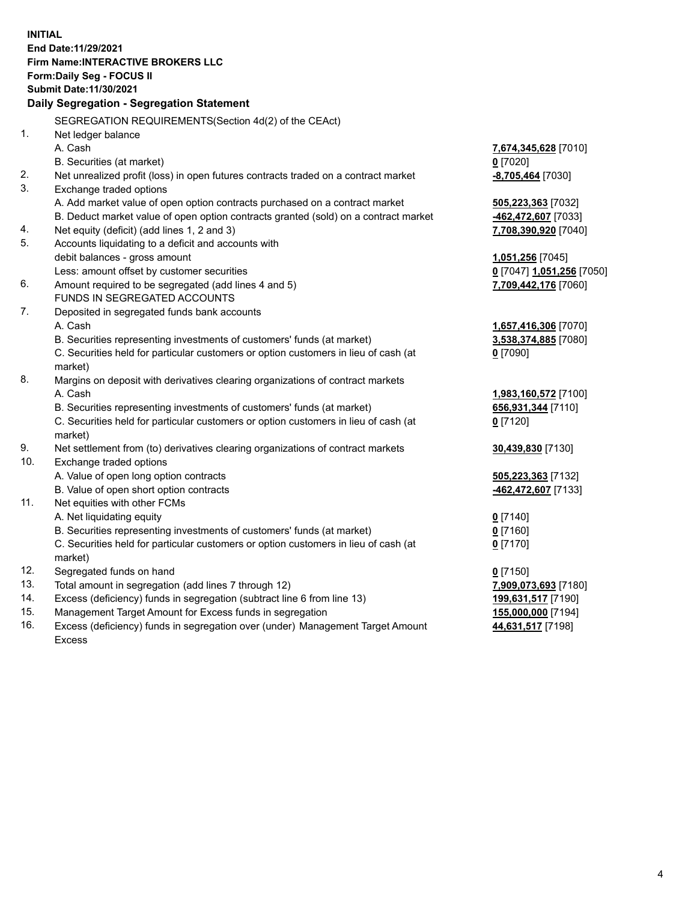**INITIAL End Date:11/29/2021 Firm Name:INTERACTIVE BROKERS LLC Form:Daily Seg - FOCUS II Submit Date:11/30/2021 Daily Segregation - Segregation Statement** SEGREGATION REQUIREMENTS(Section 4d(2) of the CEAct) 1. Net ledger balance A. Cash **7,674,345,628** [7010] B. Securities (at market) **0** [7020] 2. Net unrealized profit (loss) in open futures contracts traded on a contract market **-8,705,464** [7030] 3. Exchange traded options A. Add market value of open option contracts purchased on a contract market **505,223,363** [7032] B. Deduct market value of open option contracts granted (sold) on a contract market **-462,472,607** [7033] 4. Net equity (deficit) (add lines 1, 2 and 3) **7,708,390,920** [7040] 5. Accounts liquidating to a deficit and accounts with debit balances - gross amount **1,051,256** [7045] Less: amount offset by customer securities **0** [7047] **1,051,256** [7050] 6. Amount required to be segregated (add lines 4 and 5) **7,709,442,176** [7060] FUNDS IN SEGREGATED ACCOUNTS 7. Deposited in segregated funds bank accounts A. Cash **1,657,416,306** [7070] B. Securities representing investments of customers' funds (at market) **3,538,374,885** [7080] C. Securities held for particular customers or option customers in lieu of cash (at market) **0** [7090] 8. Margins on deposit with derivatives clearing organizations of contract markets A. Cash **1,983,160,572** [7100] B. Securities representing investments of customers' funds (at market) **656,931,344** [7110] C. Securities held for particular customers or option customers in lieu of cash (at market) **0** [7120] 9. Net settlement from (to) derivatives clearing organizations of contract markets **30,439,830** [7130] 10. Exchange traded options A. Value of open long option contracts **505,223,363** [7132] B. Value of open short option contracts **-462,472,607** [7133] 11. Net equities with other FCMs A. Net liquidating equity **0** [7140] B. Securities representing investments of customers' funds (at market) **0** [7160] C. Securities held for particular customers or option customers in lieu of cash (at market) **0** [7170] 12. Segregated funds on hand **0** [7150] 13. Total amount in segregation (add lines 7 through 12) **7,909,073,693** [7180] 14. Excess (deficiency) funds in segregation (subtract line 6 from line 13) **199,631,517** [7190] 15. Management Target Amount for Excess funds in segregation **155,000,000** [7194] 16. Excess (deficiency) funds in segregation over (under) Management Target Amount **44,631,517** [7198]

Excess